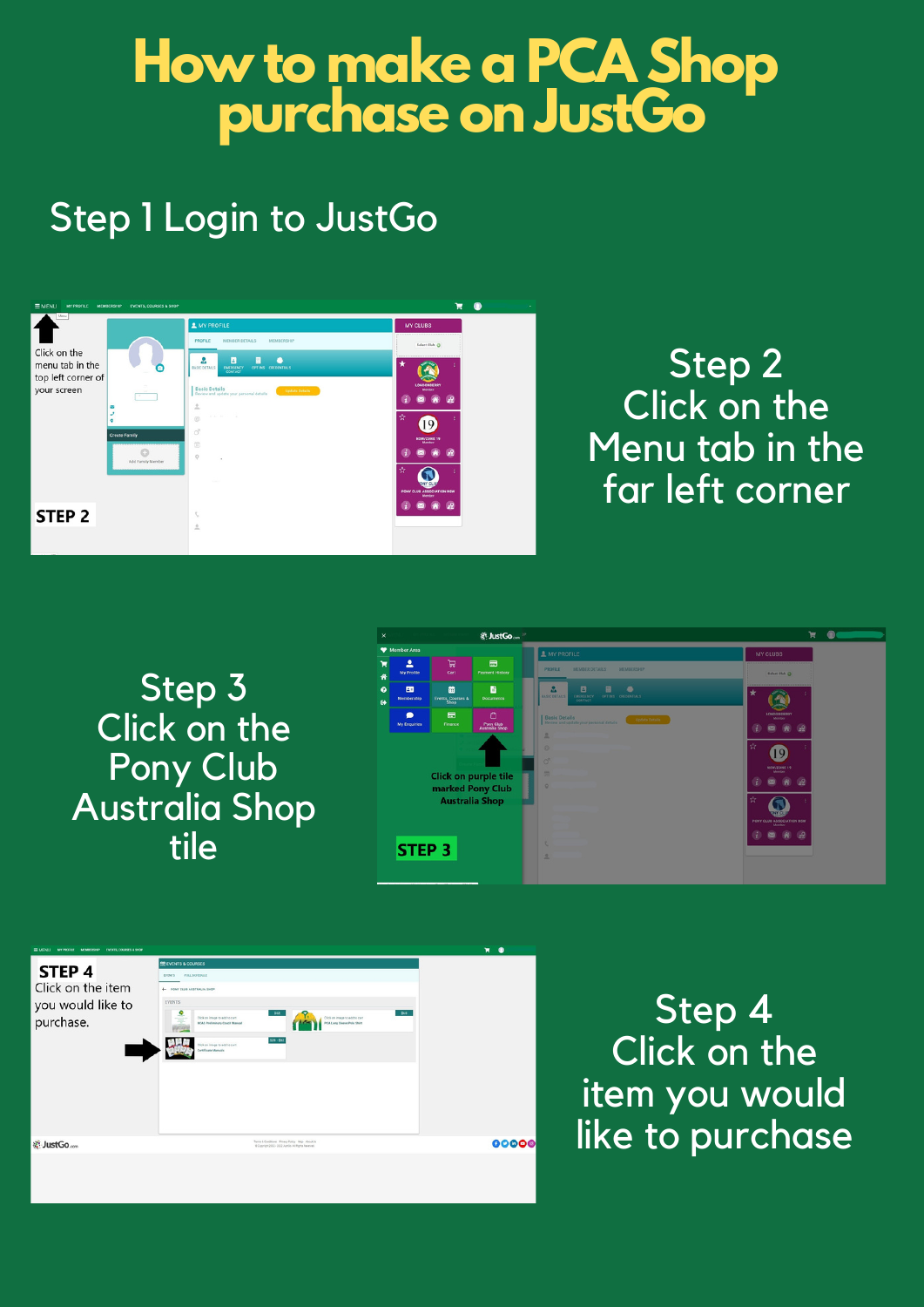## **How to make a PCA Shop purchase on JustGo**

## Step 1 Login to JustGo



Step 3 Click on the Pony Club Australia Shop tile



| EMPALL MYPORE MEMBROW EVENTS CORRESSION                       |                                                                                                                                                                                                                                                                                                                                                                                          | $\blacksquare$<br>$\bullet$ |
|---------------------------------------------------------------|------------------------------------------------------------------------------------------------------------------------------------------------------------------------------------------------------------------------------------------------------------------------------------------------------------------------------------------------------------------------------------------|-----------------------------|
| STEP 4<br>Click on the item<br>you would like to<br>purchase. | <b>ER EVENTS &amp; COURSES</b><br>FULL SCHEDULE<br><b>EVENTS</b><br><b>4- PONY CLUB AUSTRALIA SHOP</b><br><b>EVENTS</b><br>$\frac{9}{2}$<br>165<br>\$52<br>Click on image to add to cart<br>Click on image to add to cars<br><b>PCA Long Steere Palo Shirt</b><br>NCAS Preliminary Coach Manual<br><b>ACCIO</b><br>828 - 852<br>Two of bbs or again on AUD<br><b>Contificate Manuals</b> |                             |
| ※ JustGo                                                      | Terra & Conditions Privacy Policy Help . About Da<br>@ Deproyer 2002 - 2012 Jumbs All Rights Reserved                                                                                                                                                                                                                                                                                    | 00000                       |
|                                                               |                                                                                                                                                                                                                                                                                                                                                                                          |                             |

Step 4 Click on the item you would like to purchase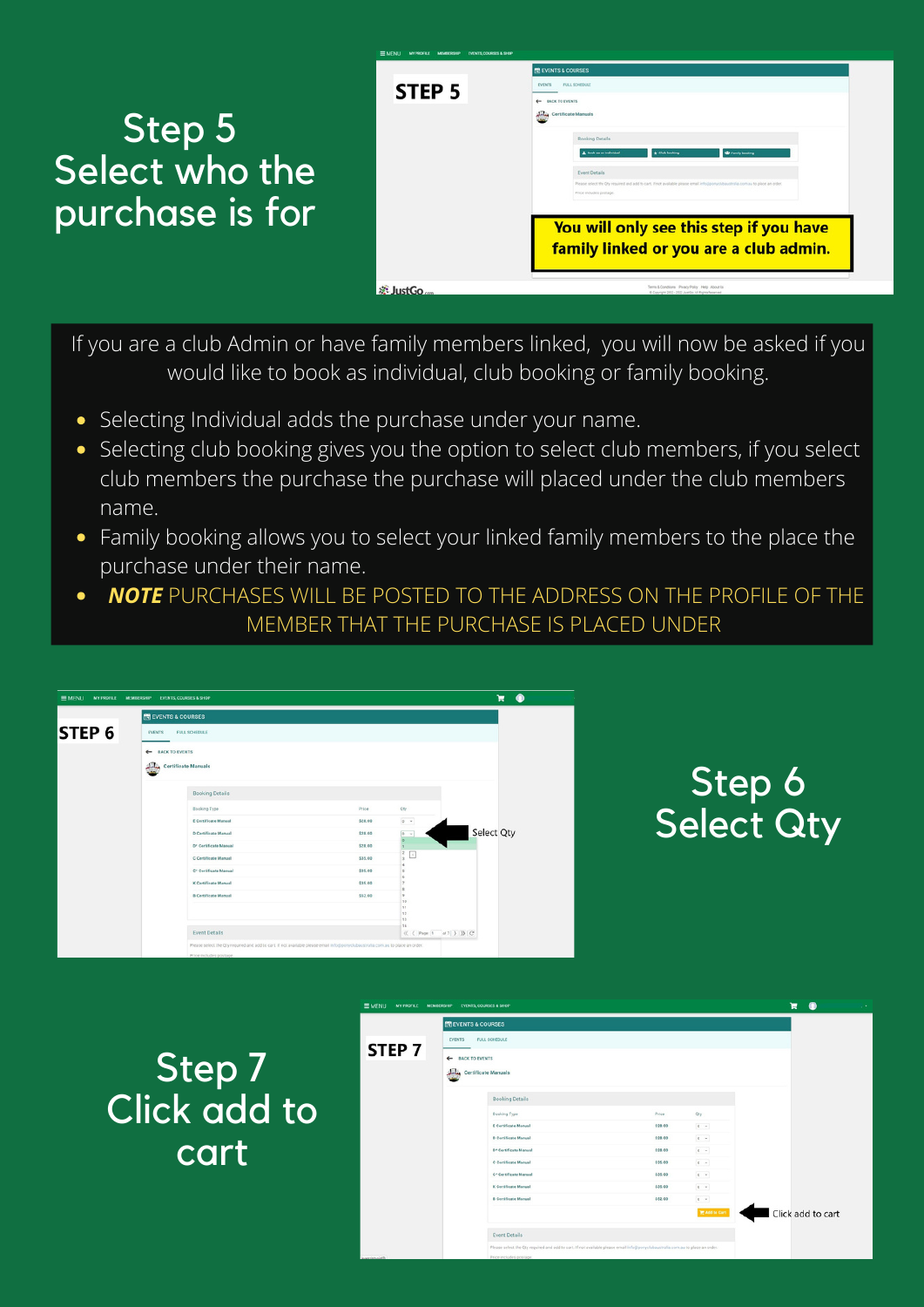## Step 5 Select who the purchase is for

| $\equiv$ MENU<br>MYPROFILE MEMBERGHIP<br><b>EVENTS, COURSES &amp; SHOP</b> |                                                                                                                                                 |  |  |  |  |
|----------------------------------------------------------------------------|-------------------------------------------------------------------------------------------------------------------------------------------------|--|--|--|--|
|                                                                            | <b><i>BREVENTS &amp; COURSES</i></b><br><b>FULL SCHIEDULE</b><br><b>EVENTS</b>                                                                  |  |  |  |  |
| STEP <sub>5</sub>                                                          |                                                                                                                                                 |  |  |  |  |
|                                                                            | <b>4- BACK TO EVENTS</b>                                                                                                                        |  |  |  |  |
|                                                                            | <b>Julia</b> Certificate Manuals                                                                                                                |  |  |  |  |
|                                                                            | Booking Details                                                                                                                                 |  |  |  |  |
|                                                                            | A Book as an individual<br><b>C</b> Family booking<br>* Club booking                                                                            |  |  |  |  |
|                                                                            |                                                                                                                                                 |  |  |  |  |
|                                                                            | Event Details<br>Please select the Oty required and add to cart. If not available please email info@ponyclubaustralia.com.au to place an order. |  |  |  |  |
|                                                                            | Price includes postage.                                                                                                                         |  |  |  |  |
|                                                                            |                                                                                                                                                 |  |  |  |  |
|                                                                            | You will only see this step if you have                                                                                                         |  |  |  |  |
|                                                                            |                                                                                                                                                 |  |  |  |  |
|                                                                            | family linked or you are a club admin.                                                                                                          |  |  |  |  |
|                                                                            |                                                                                                                                                 |  |  |  |  |
| <b>E</b> JustGo                                                            | Serra & Condriore Privacy Policy Help Jibout Us<br>6 Copyright 2002 - 2012 JuniOn All Rights Reserved.                                          |  |  |  |  |
|                                                                            |                                                                                                                                                 |  |  |  |  |

If you are a club Admin or have family members linked, you will now be asked if you would like to book as individual, club booking or family booking.

- Selecting Individual adds the purchase under your name.
- Selecting club booking gives you the option to select club members, if you select club members the purchase the purchase will placed under the club members name.
- Family booking allows you to select your linked family members to the place the purchase under their name.
- *NOTE* PURCHASES WILL BE POSTED TO THE ADDRESS ON THE PROFILE OF THE  $\bullet$ MEMBER THAT THE PURCHASE IS PLACED UNDER

| $\equiv$ MENU<br>MY PROFILE | MEMBERSHIP EVENTS, COURSES & SHOP |                                                                                                                                                                  |                                                                                                                                |                                                         | $\bullet$<br>π |
|-----------------------------|-----------------------------------|------------------------------------------------------------------------------------------------------------------------------------------------------------------|--------------------------------------------------------------------------------------------------------------------------------|---------------------------------------------------------|----------------|
|                             | <b>THE EVENTS &amp; COURSES</b>   |                                                                                                                                                                  |                                                                                                                                |                                                         |                |
| STEP <sub>6</sub>           | <b>EVENTS</b>                     | FULL SCHEDULE                                                                                                                                                    |                                                                                                                                |                                                         |                |
|                             | + BACK TO EVENTS<br>بناءك         | <b>Certificate Manuals</b><br><b>Booking Details</b><br>Booking Type<br><b>E Certificate Manual</b><br>D Certificate Manual<br>D <sup>*</sup> Certificate Manual | Price<br>\$28.00<br>\$28.00<br>\$28.00                                                                                         | Qty<br>$0$ $\sim$<br>$0 - r$<br>$\circ$<br>$\mathbf{z}$ | Select Qty     |
|                             |                                   | C Certificate Manual<br>C* Certificate Manual                                                                                                                    | \$35.00<br>\$35.00                                                                                                             | $\boxed{1}$<br>$\mathbf{r}$                             |                |
|                             |                                   | <b>K Certificate Manual</b>                                                                                                                                      | \$35.00                                                                                                                        |                                                         |                |
|                             |                                   | <b>8 Certificate Manual</b>                                                                                                                                      | \$52.00                                                                                                                        | 10<br>11<br>12<br>13<br>14                              |                |
|                             |                                   | <b>Event Details</b><br>Price includes postage                                                                                                                   | Please select the Qty required and add to cart. If not available please email info@ponyclubaustralia.com.au to place an order. | ({ {  Page: 1   of 7   } })   C                         |                |

## Step 6 Select Qty

Step 7 Click add to cart

| <b>EMENU</b>      | MY PROFILE MEMBERSHIP EVENTS, COURSES & SHOP |                                   |                                                                                                                                |                                                                | $\bullet$<br>н<br>× |  |
|-------------------|----------------------------------------------|-----------------------------------|--------------------------------------------------------------------------------------------------------------------------------|----------------------------------------------------------------|---------------------|--|
|                   | <b>ED EVENTS &amp; COURSES</b>               |                                   |                                                                                                                                |                                                                |                     |  |
|                   | <b>EVENTS</b>                                | <b>FULL SCHEDULE</b>              |                                                                                                                                |                                                                |                     |  |
| STEP <sub>7</sub> | ← BACK TO EVENTS                             |                                   |                                                                                                                                |                                                                |                     |  |
|                   | شامان                                        | <b>Certificate Manuals</b>        |                                                                                                                                |                                                                |                     |  |
|                   |                                              | <b>Booking Details</b>            |                                                                                                                                |                                                                |                     |  |
|                   |                                              | <b>Booking Type</b>               | Price                                                                                                                          | Öty                                                            |                     |  |
|                   |                                              | <b>E Certificate Manual</b>       | \$28.00                                                                                                                        | $\begin{array}{ c c c }\hline 0 & \times \\\hline \end{array}$ |                     |  |
|                   |                                              | D Certificate Manual              | \$28.00                                                                                                                        | $0\quad$ $\sim$                                                |                     |  |
|                   |                                              | D <sup>*</sup> Certificate Manual | \$28.00                                                                                                                        |                                                                |                     |  |
|                   |                                              | C Certificate Manual              | \$35.00                                                                                                                        | $0\quad \  \  \circ$                                           |                     |  |
|                   |                                              | C* Certificate Manual             | \$35.00                                                                                                                        | $0\quad \  \  \vee$                                            |                     |  |
|                   |                                              | K Certificate Manual              | \$35.00                                                                                                                        | $0\quad$ $\sim$                                                |                     |  |
|                   |                                              | <b>B Certificate Manual</b>       | \$52.00                                                                                                                        |                                                                |                     |  |
|                   |                                              |                                   |                                                                                                                                | <b>YE Add to Cart</b>                                          | Click add to cart   |  |
|                   |                                              | <b>Event Details</b>              |                                                                                                                                |                                                                |                     |  |
|                   |                                              |                                   | Please select the Qty required and add to cart. If not available please email info@ponyclubaustralia.com.au to place an order. |                                                                |                     |  |